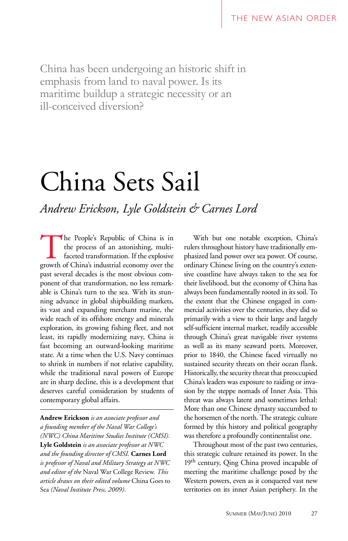China has been undergoing an historic shift in emphasis from land to naval power. Is its maritime buildup a strategic necessity or an ill-conceived diversion?

# China Sets Sail

*Andrew Erickson, Lyle Goldstein & Carnes Lord*

The People's Republic of China is in<br>the process of an astonishing, multi-<br>faceted transformation. If the explosive<br>growth of China's industrial economy over the the process of an astonishing, multifaceted transformation. If the explosive growth of China's industrial economy over the past several decades is the most obvious component of that transformation, no less remarkable is China's turn to the sea. With its stunning advance in global shipbuilding markets, its vast and expanding merchant marine, the wide reach of its offshore energy and minerals exploration, its growing fishing fleet, and not least, its rapidly modernizing navy, China is fast becoming an outward-looking maritime state. At a time when the U.S. Navy continues to shrink in numbers if not relative capability, while the traditional naval powers of Europe are in sharp decline, this is a development that deserves careful consideration by students of contemporary global affairs.

**Andrew Erickson** *is an associate professor and a founding member of the Naval War College's (NWC) China Maritime Studies Institute (CMSI).*  **Lyle Goldstein** *is an associate professor at NWC and the founding director of CMSI.* **Carnes Lord** *is professor of Naval and Military Strategy at NWC and editor of the* Naval War College Review*. This article draws on their edited volume* China Goes to Sea *(Naval Institute Press, 2009).*

With but one notable exception, China's rulers throughout history have traditionally emphasized land power over sea power. Of course, ordinary Chinese living on the country's extensive coastline have always taken to the sea for their livelihood, but the economy of China has always been fundamentally rooted in its soil. To the extent that the Chinese engaged in commercial activities over the centuries, they did so primarily with a view to their large and largely self-sufficient internal market, readily accessible through China's great navigable river systems as well as its many seaward ports. Moreover, prior to 1840, the Chinese faced virtually no sustained security threats on their ocean flank. Historically, the security threat that preoccupied China's leaders was exposure to raiding or invasion by the steppe nomads of Inner Asia. This threat was always latent and sometimes lethal: More than one Chinese dynasty succumbed to the horsemen of the north. The strategic culture formed by this history and political geography was therefore a profoundly continentalist one.

Throughout most of the past two centuries, this strategic culture retained its power. In the 19<sup>th</sup> century, Qing China proved incapable of meeting the maritime challenge posed by the Western powers, even as it conquered vast new territories on its inner Asian periphery. In the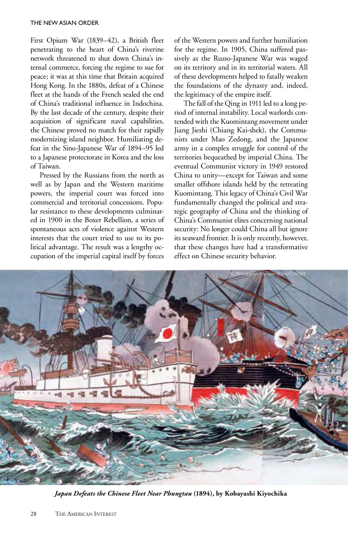First Opium War (1839–42), a British fleet penetrating to the heart of China's riverine network threatened to shut down China's internal commerce, forcing the regime to sue for peace; it was at this time that Britain acquired Hong Kong. In the 1880s, defeat of a Chinese fleet at the hands of the French sealed the end of China's traditional influence in Indochina. By the last decade of the century, despite their acquisition of significant naval capabilities, the Chinese proved no match for their rapidly modernizing island neighbor. Humiliating defeat in the Sino-Japanese War of 1894–95 led to a Japanese protectorate in Korea and the loss of Taiwan.

Pressed by the Russians from the north as well as by Japan and the Western maritime powers, the imperial court was forced into commercial and territorial concessions. Popular resistance to these developments culminated in 1900 in the Boxer Rebellion, a series of spontaneous acts of violence against Western interests that the court tried to use to its political advantage. The result was a lengthy occupation of the imperial capital itself by forces

of the Western powers and further humiliation for the regime. In 1905, China suffered passively as the Russo-Japanese War was waged on its territory and in its territorial waters. All of these developments helped to fatally weaken the foundations of the dynasty and, indeed, the legitimacy of the empire itself.

The fall of the Qing in 1911 led to a long period of internal instability. Local warlords contended with the Kuomintang movement under Jiang Jieshi (Chiang Kai-shek), the Communists under Mao Zedong, and the Japanese army in a complex struggle for control of the territories bequeathed by imperial China. The eventual Communist victory in 1949 restored China to unity—except for Taiwan and some smaller offshore islands held by the retreating Kuomintang. This legacy of China's Civil War fundamentally changed the political and strategic geography of China and the thinking of China's Communist elites concerning national security: No longer could China all but ignore its seaward frontier. It is only recently, however, that these changes have had a transformative effect on Chinese security behavior.



*Japan Defeats the Chinese Fleet Near Phungtau* **(1894), by Kobayashi Kiyochika**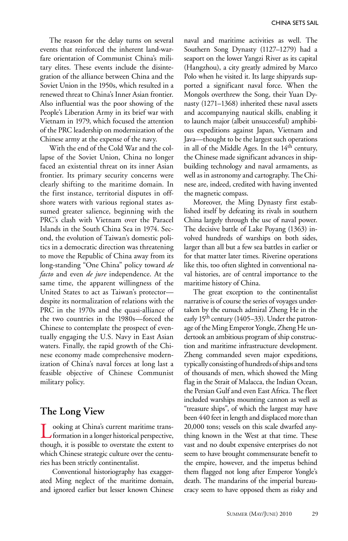The reason for the delay turns on several events that reinforced the inherent land-warfare orientation of Communist China's military elites. These events include the disintegration of the alliance between China and the Soviet Union in the 1950s, which resulted in a renewed threat to China's Inner Asian frontier. Also influential was the poor showing of the People's Liberation Army in its brief war with Vietnam in 1979, which focused the attention of the PRC leadership on modernization of the Chinese army at the expense of the navy.

With the end of the Cold War and the collapse of the Soviet Union, China no longer faced an existential threat on its inner Asian frontier. Its primary security concerns were clearly shifting to the maritime domain. In the first instance, territorial disputes in offshore waters with various regional states assumed greater salience, beginning with the PRC's clash with Vietnam over the Paracel Islands in the South China Sea in 1974. Second, the evolution of Taiwan's domestic politics in a democratic direction was threatening to move the Republic of China away from its long-standing "One China" policy toward *de facto* and even *de jure* independence. At the same time, the apparent willingness of the United States to act as Taiwan's protector despite its normalization of relations with the PRC in the 1970s and the quasi-alliance of the two countries in the 1980s—forced the Chinese to contemplate the prospect of eventually engaging the U.S. Navy in East Asian waters. Finally, the rapid growth of the Chinese economy made comprehensive modernization of China's naval forces at long last a feasible objective of Chinese Communist military policy.

#### **The Long View**

Looking at China's current maritime trans-formation in a longer historical perspective, though, it is possible to overstate the extent to which Chinese strategic culture over the centuries has been strictly continentalist.

 Conventional historiography has exaggerated Ming neglect of the maritime domain, and ignored earlier but lesser known Chinese

naval and maritime activities as well. The Southern Song Dynasty (1127–1279) had a seaport on the lower Yangzi River as its capital (Hangzhou), a city greatly admired by Marco Polo when he visited it. Its large shipyards supported a significant naval force. When the Mongols overthrew the Song, their Yuan Dynasty (1271–1368) inherited these naval assets and accompanying nautical skills, enabling it to launch major (albeit unsuccessful) amphibious expeditions against Japan, Vietnam and Java—thought to be the largest such operations in all of the Middle Ages. In the 14<sup>th</sup> century, the Chinese made significant advances in shipbuilding technology and naval armaments, as well as in astronomy and cartography. The Chinese are, indeed, credited with having invented the magnetic compass.

Moreover, the Ming Dynasty first established itself by defeating its rivals in southern China largely through the use of naval power. The decisive battle of Lake Poyang (1363) involved hundreds of warships on both sides, larger than all but a few sea battles in earlier or for that matter later times. Riverine operations like this, too often slighted in conventional naval histories, are of central importance to the maritime history of China.

The great exception to the continentalist narrative is of course the series of voyages undertaken by the eunuch admiral Zheng He in the early 15<sup>th</sup> century (1405–33). Under the patronage of the Ming Emperor Yongle, Zheng He undertook an ambitious program of ship construction and maritime infrastructure development. Zheng commanded seven major expeditions, typically consisting of hundreds of ships and tens of thousands of men, which showed the Ming flag in the Strait of Malacca, the Indian Ocean, the Persian Gulf and even East Africa. The fleet included warships mounting cannon as well as "treasure ships", of which the largest may have been 440 feet in length and displaced more than 20,000 tons; vessels on this scale dwarfed anything known in the West at that time. These vast and no doubt expensive enterprises do not seem to have brought commensurate benefit to the empire, however, and the impetus behind them flagged not long after Emperor Yongle's death. The mandarins of the imperial bureaucracy seem to have opposed them as risky and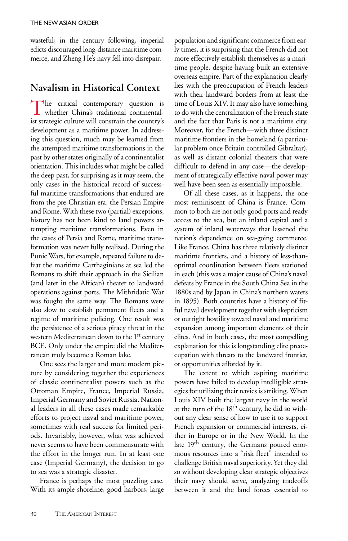wasteful; in the century following, imperial edicts discouraged long-distance maritime commerce, and Zheng He's navy fell into disrepair.

## **Navalism in Historical Context**

The critical contemporary question is whether China's traditional continentalist strategic culture will constrain the country's development as a maritime power. In addressing this question, much may be learned from the attempted maritime transformations in the past by other states originally of a continentalist orientation. This includes what might be called the deep past, for surprising as it may seem, the only cases in the historical record of successful maritime transformations that endured are from the pre-Christian era: the Persian Empire and Rome. With these two (partial) exceptions, history has not been kind to land powers attempting maritime transformations. Even in the cases of Persia and Rome, maritime transformation was never fully realized. During the Punic Wars, for example, repeated failure to defeat the maritime Carthaginians at sea led the Romans to shift their approach in the Sicilian (and later in the African) theater to landward operations against ports. The Mithridatic War was fought the same way. The Romans were also slow to establish permanent fleets and a regime of maritime policing. One result was the persistence of a serious piracy threat in the western Mediterranean down to the 1st century BCE. Only under the empire did the Mediterranean truly become a Roman lake.

One sees the larger and more modern picture by considering together the experiences of classic continentalist powers such as the Ottoman Empire, France, Imperial Russia, Imperial Germany and Soviet Russia. National leaders in all these cases made remarkable efforts to project naval and maritime power, sometimes with real success for limited periods. Invariably, however, what was achieved never seems to have been commensurate with the effort in the longer run. In at least one case (Imperial Germany), the decision to go to sea was a strategic disaster.

France is perhaps the most puzzling case. With its ample shoreline, good harbors, large population and significant commerce from early times, it is surprising that the French did not more effectively establish themselves as a maritime people, despite having built an extensive overseas empire. Part of the explanation clearly lies with the preoccupation of French leaders with their landward borders from at least the time of Louis XIV. It may also have something to do with the centralization of the French state and the fact that Paris is not a maritime city. Moreover, for the French—with three distinct maritime frontiers in the homeland (a particular problem once Britain controlled Gibraltar), as well as distant colonial theaters that were difficult to defend in any case—the development of strategically effective naval power may well have been seen as essentially impossible.

Of all these cases, as it happens, the one most reminiscent of China is France. Common to both are not only good ports and ready access to the sea, but an inland capital and a system of inland waterways that lessened the nation's dependence on sea-going commerce. Like France, China has three relatively distinct maritime frontiers, and a history of less-thanoptimal coordination between fleets stationed in each (this was a major cause of China's naval defeats by France in the South China Sea in the 1880s and by Japan in China's northern waters in 1895). Both countries have a history of fitful naval development together with skepticism or outright hostility toward naval and maritime expansion among important elements of their elites. And in both cases, the most compelling explanation for this is longstanding elite preoccupation with threats to the landward frontier, or opportunities afforded by it.

The extent to which aspiring maritime powers have failed to develop intelligible strategies for utilizing their navies is striking. When Louis XIV built the largest navy in the world at the turn of the 18<sup>th</sup> century, he did so without any clear sense of how to use it to support French expansion or commercial interests, either in Europe or in the New World. In the late 19<sup>th</sup> century, the Germans poured enormous resources into a "risk fleet" intended to challenge British naval superiority. Yet they did so without developing clear strategic objectives their navy should serve, analyzing tradeoffs between it and the land forces essential to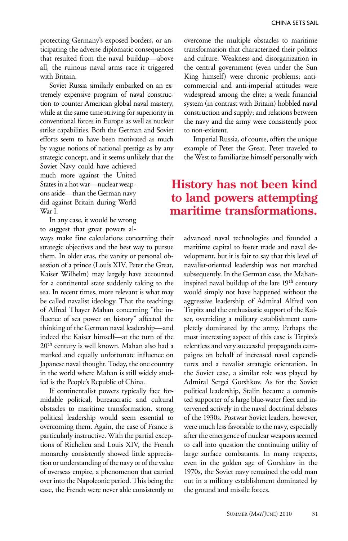protecting Germany's exposed borders, or anticipating the adverse diplomatic consequences that resulted from the naval buildup—above all, the ruinous naval arms race it triggered with Britain.

Soviet Russia similarly embarked on an extremely expensive program of naval construction to counter American global naval mastery, while at the same time striving for superiority in conventional forces in Europe as well as nuclear strike capabilities. Both the German and Soviet efforts seem to have been motivated as much by vague notions of national prestige as by any strategic concept, and it seems unlikely that the

Soviet Navy could have achieved much more against the United States in a hot war—nuclear weapons aside—than the German navy did against Britain during World War I.

In any case, it would be wrong to suggest that great powers al-

ways make fine calculations concerning their strategic objectives and the best way to pursue them. In older eras, the vanity or personal obsession of a prince (Louis XIV, Peter the Great, Kaiser Wilhelm) may largely have accounted for a continental state suddenly taking to the sea. In recent times, more relevant is what may be called navalist ideology. That the teachings of Alfred Thayer Mahan concerning "the influence of sea power on history" affected the thinking of the German naval leadership—and indeed the Kaiser himself—at the turn of the 20<sup>th</sup> century is well known. Mahan also had a marked and equally unfortunate influence on Japanese naval thought. Today, the one country in the world where Mahan is still widely studied is the People's Republic of China.

If continentalist powers typically face formidable political, bureaucratic and cultural obstacles to maritime transformation, strong political leadership would seem essential to overcoming them. Again, the case of France is particularly instructive. With the partial exceptions of Richelieu and Louis XIV, the French monarchy consistently showed little appreciation or understanding of the navy or of the value of overseas empire, a phenomenon that carried over into the Napoleonic period. This being the case, the French were never able consistently to

overcome the multiple obstacles to maritime transformation that characterized their politics and culture. Weakness and disorganization in the central government (even under the Sun King himself) were chronic problems; anticommercial and anti-imperial attitudes were widespread among the elite; a weak financial system (in contrast with Britain) hobbled naval construction and supply; and relations between the navy and the army were consistently poor to non-existent.

Imperial Russia, of course, offers the unique example of Peter the Great. Peter traveled to the West to familiarize himself personally with

## **History has not been kind to land powers attempting maritime transformations.**

advanced naval technologies and founded a maritime capital to foster trade and naval development, but it is fair to say that this level of navalist-oriented leadership was not matched subsequently. In the German case, the Mahaninspired naval buildup of the late 19<sup>th</sup> century would simply not have happened without the aggressive leadership of Admiral Alfred von Tirpitz and the enthusiastic support of the Kaiser, overriding a military establishment completely dominated by the army. Perhaps the most interesting aspect of this case is Tirpitz's relentless and very successful propaganda campaigns on behalf of increased naval expenditures and a navalist strategic orientation. In the Soviet case, a similar role was played by Admiral Sergei Gorshkov. As for the Soviet political leadership, Stalin became a committed supporter of a large blue-water fleet and intervened actively in the naval doctrinal debates of the 1930s. Postwar Soviet leaders, however, were much less favorable to the navy, especially after the emergence of nuclear weapons seemed to call into question the continuing utility of large surface combatants. In many respects, even in the golden age of Gorshkov in the 1970s, the Soviet navy remained the odd man out in a military establishment dominated by the ground and missile forces.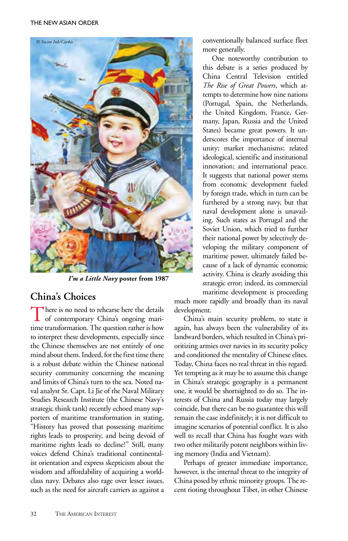

*I'm a Little Navy* **poster from 1987**

## **China's Choices**

There is no need to rehearse here the details<br>of contemporary China's ongoing maritime transformation. The question rather is how to interpret these developments, especially since the Chinese themselves are not entirely of one mind about them. Indeed, for the first time there is a robust debate within the Chinese national security community concerning the meaning and limits of China's turn to the sea. Noted naval analyst Sr. Capt. Li Jie of the Naval Military Studies Research Institute (the Chinese Navy's strategic think tank) recently echoed many supporters of maritime transformation in stating, "History has proved that possessing maritime rights leads to prosperity, and being devoid of maritime rights leads to decline!" Still, many voices defend China's traditional continentalist orientation and express skepticism about the wisdom and affordability of acquiring a worldclass navy. Debates also rage over lesser issues, such as the need for aircraft carriers as against a

conventionally balanced surface fleet more generally.

One noteworthy contribution to this debate is a series produced by China Central Television entitled *The Rise of Great Powers*, which attempts to determine how nine nations (Portugal, Spain, the Netherlands, the United Kingdom, France, Germany, Japan, Russia and the United States) became great powers. It underscores the importance of internal unity; market mechanisms; related ideological, scientific and institutional innovation; and international peace. It suggests that national power stems from economic development fueled by foreign trade, which in turn can be furthered by a strong navy, but that naval development alone is unavailing. Such states as Portugal and the Soviet Union, which tried to further their national power by selectively developing the military component of maritime power, ultimately failed because of a lack of dynamic economic activity. China is clearly avoiding this strategic error; indeed, its commercial maritime development is proceeding

much more rapidly and broadly than its naval development.

China's main security problem, to state it again, has always been the vulnerability of its landward borders, which resulted in China's prioritizing armies over navies in its security policy and conditioned the mentality of Chinese elites. Today, China faces no real threat in this regard. Yet tempting as it may be to assume this change in China's strategic geography is a permanent one, it would be shortsighted to do so. The interests of China and Russia today may largely coincide, but there can be no guarantee this will remain the case indefinitely; it is not difficult to imagine scenarios of potential conflict. It is also well to recall that China has fought wars with two other militarily potent neighbors within living memory (India and Vietnam).

Perhaps of greater immediate importance, however, is the internal threat to the integrity of China posed by ethnic minority groups. The recent rioting throughout Tibet, in other Chinese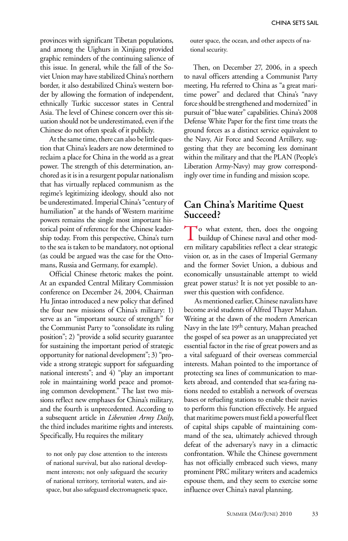provinces with significant Tibetan populations, and among the Uighurs in Xinjiang provided graphic reminders of the continuing salience of this issue. In general, while the fall of the Soviet Union may have stabilized China's northern border, it also destabilized China's western border by allowing the formation of independent, ethnically Turkic successor states in Central Asia. The level of Chinese concern over this situation should not be underestimated, even if the Chinese do not often speak of it publicly.

At the same time, there can also be little question that China's leaders are now determined to reclaim a place for China in the world as a great power. The strength of this determination, anchored as it is in a resurgent popular nationalism that has virtually replaced communism as the regime's legitimizing ideology, should also not be underestimated. Imperial China's "century of humiliation" at the hands of Western maritime powers remains the single most important historical point of reference for the Chinese leadership today. From this perspective, China's turn to the sea is taken to be mandatory, not optional (as could be argued was the case for the Ottomans, Russia and Germany, for example).

Official Chinese rhetoric makes the point. At an expanded Central Military Commission conference on December 24, 2004, Chairman Hu Jintao introduced a new policy that defined the four new missions of China's military: 1) serve as an "important source of strength" for the Communist Party to "consolidate its ruling position"; 2) "provide a solid security guarantee for sustaining the important period of strategic opportunity for national development"; 3) "provide a strong strategic support for safeguarding national interests"; and 4) "play an important role in maintaining world peace and promoting common development." The last two missions reflect new emphases for China's military, and the fourth is unprecedented. According to a subsequent article in *Liberation Army Daily*, the third includes maritime rights and interests. Specifically, Hu requires the military

to not only pay close attention to the interests of national survival, but also national development interests; not only safeguard the security of national territory, territorial waters, and airspace, but also safeguard electromagnetic space, outer space, the ocean, and other aspects of national security.

Then, on December 27, 2006, in a speech to naval officers attending a Communist Party meeting, Hu referred to China as "a great maritime power" and declared that China's "navy force should be strengthened and modernized" in pursuit of "blue water" capabilities. China's 2008 Defense White Paper for the first time treats the ground forces as a distinct service equivalent to the Navy, Air Force and Second Artillery, suggesting that they are becoming less dominant within the military and that the PLAN (People's Liberation Army-Navy) may grow correspondingly over time in funding and mission scope.

### **Can China's Maritime Quest Succeed?**

To what extent, then, does the ongoing **L** buildup of Chinese naval and other modern military capabilities reflect a clear strategic vision or, as in the cases of Imperial Germany and the former Soviet Union, a dubious and economically unsustainable attempt to wield great power status? It is not yet possible to answer this question with confidence.

 As mentioned earlier, Chinese navalists have become avid students of Alfred Thayer Mahan. Writing at the dawn of the modern American Navy in the late 19<sup>th</sup> century, Mahan preached the gospel of sea power as an unappreciated yet essential factor in the rise of great powers and as a vital safeguard of their overseas commercial interests. Mahan pointed to the importance of protecting sea lines of communication to markets abroad, and contended that sea-faring nations needed to establish a network of overseas bases or refueling stations to enable their navies to perform this function effectively. He argued that maritime powers must field a powerful fleet of capital ships capable of maintaining command of the sea, ultimately achieved through defeat of the adversary's navy in a climactic confrontation. While the Chinese government has not officially embraced such views, many prominent PRC military writers and academics espouse them, and they seem to exercise some influence over China's naval planning.